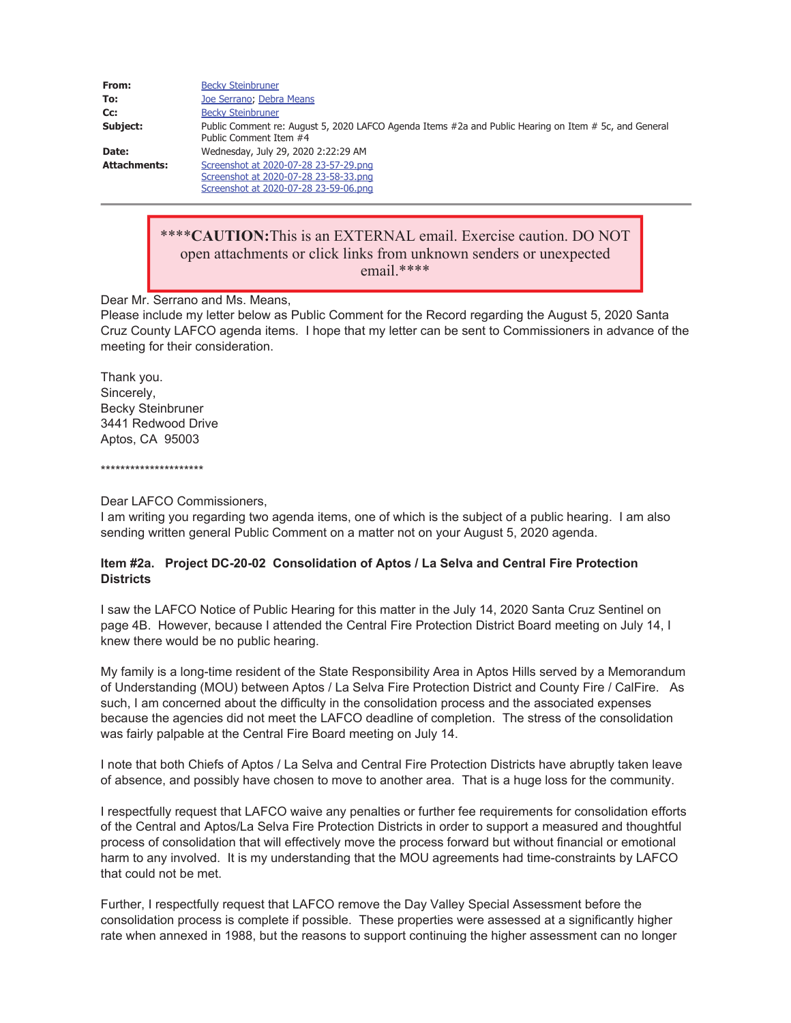| From:               | <b>Becky Steinbruner</b>                                                                                                        |
|---------------------|---------------------------------------------------------------------------------------------------------------------------------|
| To:                 | Joe Serrano; Debra Means                                                                                                        |
| Cc:                 | <b>Becky Steinbruner</b>                                                                                                        |
| Subject:            | Public Comment re: August 5, 2020 LAFCO Agenda Items #2a and Public Hearing on Item # 5c, and General<br>Public Comment Item #4 |
| Date:               | Wednesday, July 29, 2020 2:22:29 AM                                                                                             |
| <b>Attachments:</b> | Screenshot at 2020-07-28 23-57-29.png<br>Screenshot at 2020-07-28 23-58-33.pnq                                                  |
|                     | Screenshot at 2020-07-28 23-59-06.png                                                                                           |

# \*\*\*\***CAUTION:**This is an EXTERNAL email. Exercise caution. DO NOT open attachments or click links from unknown senders or unexpected email.\*\*\*\*

Dear Mr. Serrano and Ms. Means,

Please include my letter below as Public Comment for the Record regarding the August 5, 2020 Santa Cruz County LAFCO agenda items. I hope that my letter can be sent to Commissioners in advance of the meeting for their consideration.

Thank you. Sincerely, Becky Steinbruner 3441 Redwood Drive Aptos, CA 95003

\*\*\*\*\*\*\*\*\*\*\*\*\*\*\*\*\*\*\*\*\*

Dear LAFCO Commissioners,

I am writing you regarding two agenda items, one of which is the subject of a public hearing. I am also sending written general Public Comment on a matter not on your August 5, 2020 agenda.

# **Item #2a. Project DC-20-02 Consolidation of Aptos / La Selva and Central Fire Protection Districts**

I saw the LAFCO Notice of Public Hearing for this matter in the July 14, 2020 Santa Cruz Sentinel on page 4B. However, because I attended the Central Fire Protection District Board meeting on July 14, I knew there would be no public hearing.

My family is a long-time resident of the State Responsibility Area in Aptos Hills served by a Memorandum of Understanding (MOU) between Aptos / La Selva Fire Protection District and County Fire / CalFire. As such, I am concerned about the difficulty in the consolidation process and the associated expenses because the agencies did not meet the LAFCO deadline of completion. The stress of the consolidation was fairly palpable at the Central Fire Board meeting on July 14.

I note that both Chiefs of Aptos / La Selva and Central Fire Protection Districts have abruptly taken leave of absence, and possibly have chosen to move to another area. That is a huge loss for the community.

I respectfully request that LAFCO waive any penalties or further fee requirements for consolidation efforts of the Central and Aptos/La Selva Fire Protection Districts in order to support a measured and thoughtful process of consolidation that will effectively move the process forward but without financial or emotional harm to any involved. It is my understanding that the MOU agreements had time-constraints by LAFCO that could not be met.

Further, I respectfully request that LAFCO remove the Day Valley Special Assessment before the consolidation process is complete if possible. These properties were assessed at a significantly higher rate when annexed in 1988, but the reasons to support continuing the higher assessment can no longer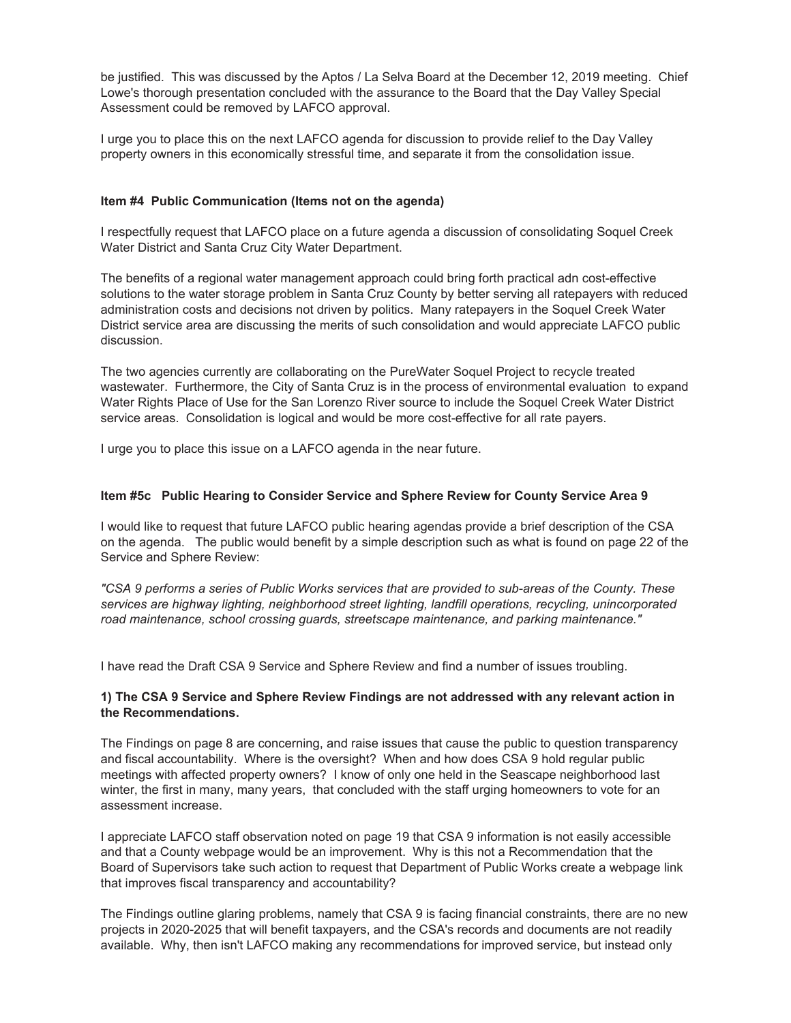be justified. This was discussed by the Aptos / La Selva Board at the December 12, 2019 meeting. Chief Lowe's thorough presentation concluded with the assurance to the Board that the Day Valley Special Assessment could be removed by LAFCO approval.

I urge you to place this on the next LAFCO agenda for discussion to provide relief to the Day Valley property owners in this economically stressful time, and separate it from the consolidation issue.

# **Item #4 Public Communication (Items not on the agenda)**

I respectfully request that LAFCO place on a future agenda a discussion of consolidating Soquel Creek Water District and Santa Cruz City Water Department.

The benefits of a regional water management approach could bring forth practical adn cost-effective solutions to the water storage problem in Santa Cruz County by better serving all ratepayers with reduced administration costs and decisions not driven by politics. Many ratepayers in the Soquel Creek Water District service area are discussing the merits of such consolidation and would appreciate LAFCO public discussion.

The two agencies currently are collaborating on the PureWater Soquel Project to recycle treated wastewater. Furthermore, the City of Santa Cruz is in the process of environmental evaluation to expand Water Rights Place of Use for the San Lorenzo River source to include the Soquel Creek Water District service areas. Consolidation is logical and would be more cost-effective for all rate payers.

I urge you to place this issue on a LAFCO agenda in the near future.

# **Item #5c Public Hearing to Consider Service and Sphere Review for County Service Area 9**

I would like to request that future LAFCO public hearing agendas provide a brief description of the CSA on the agenda. The public would benefit by a simple description such as what is found on page 22 of the Service and Sphere Review:

*"CSA 9 performs a series of Public Works services that are provided to sub-areas of the County. These services are highway lighting, neighborhood street lighting, landfill operations, recycling, unincorporated road maintenance, school crossing guards, streetscape maintenance, and parking maintenance."*

I have read the Draft CSA 9 Service and Sphere Review and find a number of issues troubling.

# **1) The CSA 9 Service and Sphere Review Findings are not addressed with any relevant action in the Recommendations.**

The Findings on page 8 are concerning, and raise issues that cause the public to question transparency and fiscal accountability. Where is the oversight? When and how does CSA 9 hold regular public meetings with affected property owners? I know of only one held in the Seascape neighborhood last winter, the first in many, many years, that concluded with the staff urging homeowners to vote for an assessment increase.

I appreciate LAFCO staff observation noted on page 19 that CSA 9 information is not easily accessible and that a County webpage would be an improvement. Why is this not a Recommendation that the Board of Supervisors take such action to request that Department of Public Works create a webpage link that improves fiscal transparency and accountability?

The Findings outline glaring problems, namely that CSA 9 is facing financial constraints, there are no new projects in 2020-2025 that will benefit taxpayers, and the CSA's records and documents are not readily available. Why, then isn't LAFCO making any recommendations for improved service, but instead only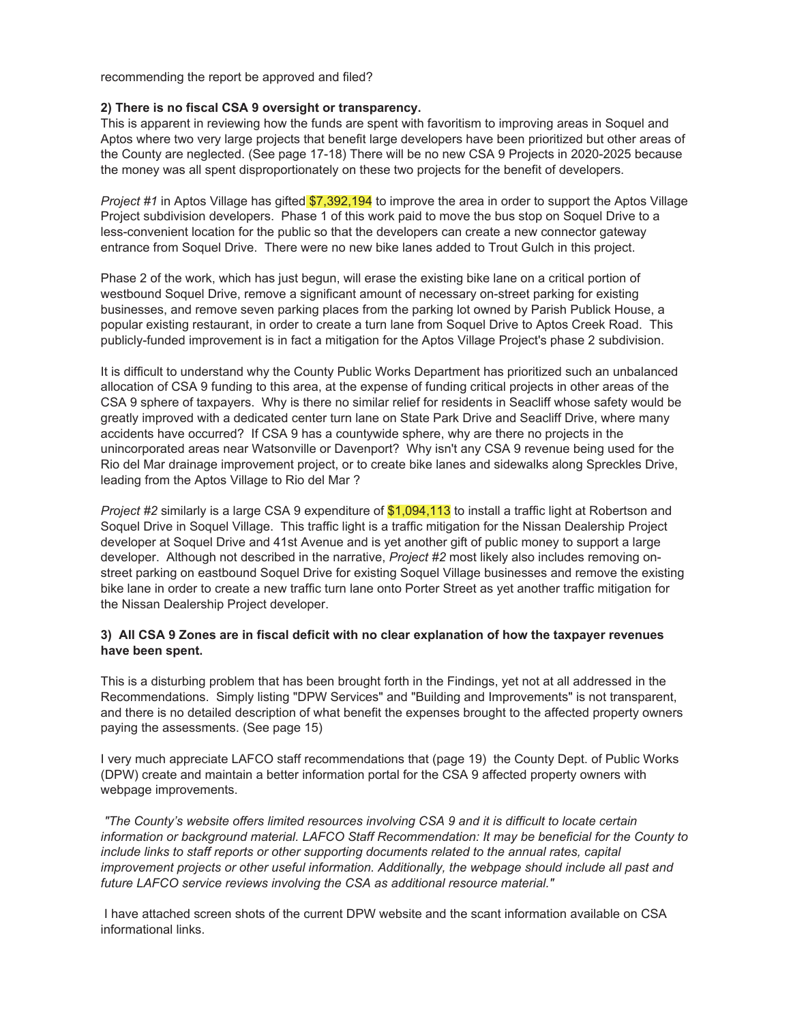recommending the report be approved and filed?

#### **2) There is no fiscal CSA 9 oversight or transparency.**

This is apparent in reviewing how the funds are spent with favoritism to improving areas in Soquel and Aptos where two very large projects that benefit large developers have been prioritized but other areas of the County are neglected. (See page 17-18) There will be no new CSA 9 Projects in 2020-2025 because the money was all spent disproportionately on these two projects for the benefit of developers.

*Project #1* in Aptos Village has gifted \$7,392,194 to improve the area in order to support the Aptos Village Project subdivision developers. Phase 1 of this work paid to move the bus stop on Soquel Drive to a less-convenient location for the public so that the developers can create a new connector gateway entrance from Soquel Drive. There were no new bike lanes added to Trout Gulch in this project.

Phase 2 of the work, which has just begun, will erase the existing bike lane on a critical portion of westbound Soquel Drive, remove a significant amount of necessary on-street parking for existing businesses, and remove seven parking places from the parking lot owned by Parish Publick House, a popular existing restaurant, in order to create a turn lane from Soquel Drive to Aptos Creek Road. This publicly-funded improvement is in fact a mitigation for the Aptos Village Project's phase 2 subdivision.

It is difficult to understand why the County Public Works Department has prioritized such an unbalanced allocation of CSA 9 funding to this area, at the expense of funding critical projects in other areas of the CSA 9 sphere of taxpayers. Why is there no similar relief for residents in Seacliff whose safety would be greatly improved with a dedicated center turn lane on State Park Drive and Seacliff Drive, where many accidents have occurred? If CSA 9 has a countywide sphere, why are there no projects in the unincorporated areas near Watsonville or Davenport? Why isn't any CSA 9 revenue being used for the Rio del Mar drainage improvement project, or to create bike lanes and sidewalks along Spreckles Drive, leading from the Aptos Village to Rio del Mar ?

*Project #2* similarly is a large CSA 9 expenditure of \$1,094,113 to install a traffic light at Robertson and Soquel Drive in Soquel Village. This traffic light is a traffic mitigation for the Nissan Dealership Project developer at Soquel Drive and 41st Avenue and is yet another gift of public money to support a large developer. Although not described in the narrative, *Project #2* most likely also includes removing onstreet parking on eastbound Soquel Drive for existing Soquel Village businesses and remove the existing bike lane in order to create a new traffic turn lane onto Porter Street as yet another traffic mitigation for the Nissan Dealership Project developer.

# **3) All CSA 9 Zones are in fiscal deficit with no clear explanation of how the taxpayer revenues have been spent.**

This is a disturbing problem that has been brought forth in the Findings, yet not at all addressed in the Recommendations. Simply listing "DPW Services" and "Building and Improvements" is not transparent, and there is no detailed description of what benefit the expenses brought to the affected property owners paying the assessments. (See page 15)

I very much appreciate LAFCO staff recommendations that (page 19) the County Dept. of Public Works (DPW) create and maintain a better information portal for the CSA 9 affected property owners with webpage improvements.

*"The County's website offers limited resources involving CSA 9 and it is difficult to locate certain information or background material. LAFCO Staff Recommendation: It may be beneficial for the County to include links to staff reports or other supporting documents related to the annual rates, capital improvement projects or other useful information. Additionally, the webpage should include all past and future LAFCO service reviews involving the CSA as additional resource material."*

 I have attached screen shots of the current DPW website and the scant information available on CSA informational links.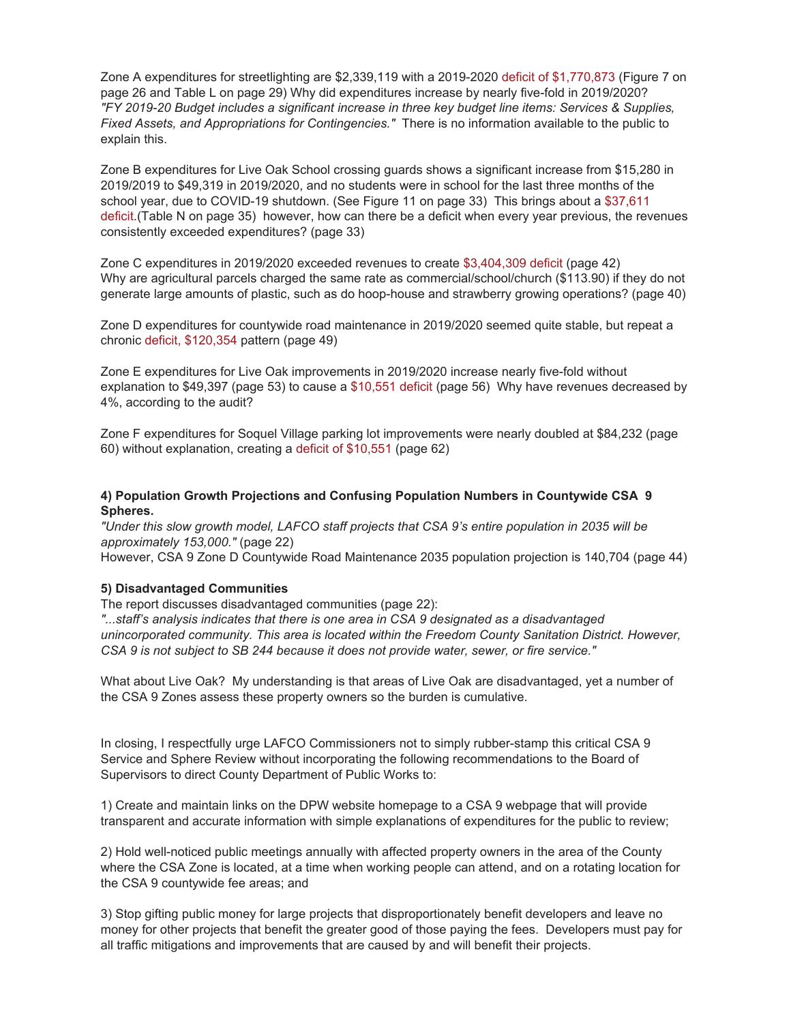Zone A expenditures for streetlighting are \$2,339,119 with a 2019-2020 deficit of \$1,770,873 (Figure 7 on page 26 and Table L on page 29) Why did expenditures increase by nearly five-fold in 2019/2020? *"FY 2019-20 Budget includes a significant increase in three key budget line items: Services & Supplies, Fixed Assets, and Appropriations for Contingencies."* There is no information available to the public to explain this.

Zone B expenditures for Live Oak School crossing guards shows a significant increase from \$15,280 in 2019/2019 to \$49,319 in 2019/2020, and no students were in school for the last three months of the school year, due to COVID-19 shutdown. (See Figure 11 on page 33) This brings about a \$37,611 deficit.(Table N on page 35) however, how can there be a deficit when every year previous, the revenues consistently exceeded expenditures? (page 33)

Zone C expenditures in 2019/2020 exceeded revenues to create \$3,404,309 deficit (page 42) Why are agricultural parcels charged the same rate as commercial/school/church (\$113.90) if they do not generate large amounts of plastic, such as do hoop-house and strawberry growing operations? (page 40)

Zone D expenditures for countywide road maintenance in 2019/2020 seemed quite stable, but repeat a chronic deficit, \$120,354 pattern (page 49)

Zone E expenditures for Live Oak improvements in 2019/2020 increase nearly five-fold without explanation to \$49,397 (page 53) to cause a \$10,551 deficit (page 56) Why have revenues decreased by 4%, according to the audit?

Zone F expenditures for Soquel Village parking lot improvements were nearly doubled at \$84,232 (page 60) without explanation, creating a deficit of \$10,551 (page 62)

# **4) Population Growth Projections and Confusing Population Numbers in Countywide CSA 9 Spheres.**

*"Under this slow growth model, LAFCO staff projects that CSA 9's entire population in 2035 will be approximately 153,000."* (page 22) However, CSA 9 Zone D Countywide Road Maintenance 2035 population projection is 140,704 (page 44)

# **5) Disadvantaged Communities**

The report discusses disadvantaged communities (page 22):

*"...staff's analysis indicates that there is one area in CSA 9 designated as a disadvantaged unincorporated community. This area is located within the Freedom County Sanitation District. However, CSA 9 is not subject to SB 244 because it does not provide water, sewer, or fire service."* 

What about Live Oak? My understanding is that areas of Live Oak are disadvantaged, yet a number of the CSA 9 Zones assess these property owners so the burden is cumulative.

In closing, I respectfully urge LAFCO Commissioners not to simply rubber-stamp this critical CSA 9 Service and Sphere Review without incorporating the following recommendations to the Board of Supervisors to direct County Department of Public Works to:

1) Create and maintain links on the DPW website homepage to a CSA 9 webpage that will provide transparent and accurate information with simple explanations of expenditures for the public to review;

2) Hold well-noticed public meetings annually with affected property owners in the area of the County where the CSA Zone is located, at a time when working people can attend, and on a rotating location for the CSA 9 countywide fee areas; and

3) Stop gifting public money for large projects that disproportionately benefit developers and leave no money for other projects that benefit the greater good of those paying the fees. Developers must pay for all traffic mitigations and improvements that are caused by and will benefit their projects.